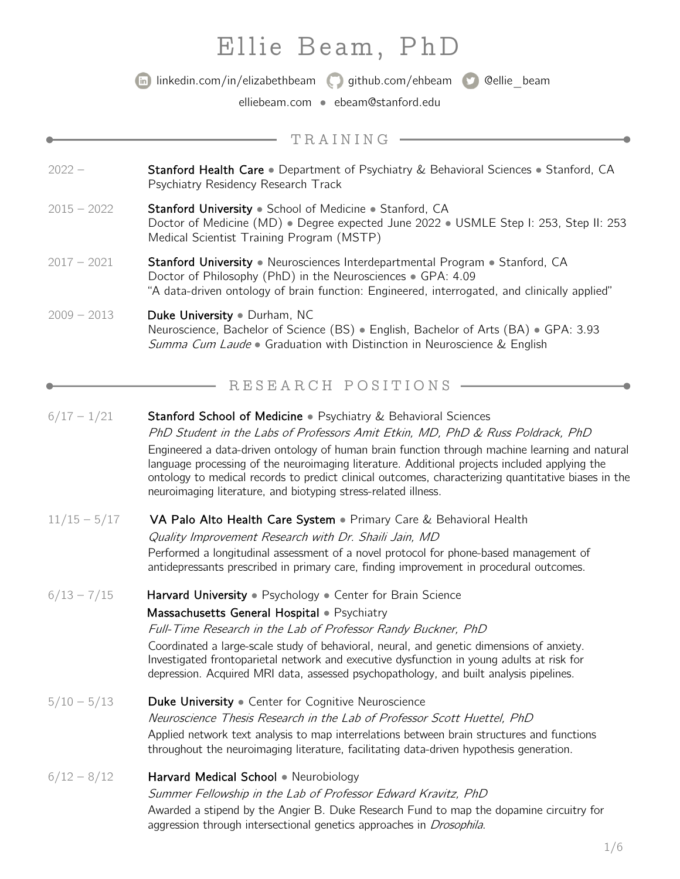# Ellie Beam, PhD



linkedin.com/in/elizabethbeam github.com/ehbeam @ellie\_beam

elliebeam.com • ebeam@stanford.edu

|                | TRAINING                                                                                                                                                                                                                                                                                                                                                                                                                                                                                                                            |
|----------------|-------------------------------------------------------------------------------------------------------------------------------------------------------------------------------------------------------------------------------------------------------------------------------------------------------------------------------------------------------------------------------------------------------------------------------------------------------------------------------------------------------------------------------------|
| $2022 -$       | Stanford Health Care • Department of Psychiatry & Behavioral Sciences • Stanford, CA<br>Psychiatry Residency Research Track                                                                                                                                                                                                                                                                                                                                                                                                         |
| $2015 - 2022$  | Stanford University . School of Medicine . Stanford, CA<br>Doctor of Medicine (MD) · Degree expected June 2022 · USMLE Step I: 253, Step II: 253<br>Medical Scientist Training Program (MSTP)                                                                                                                                                                                                                                                                                                                                       |
| $2017 - 2021$  | Stanford University • Neurosciences Interdepartmental Program • Stanford, CA<br>Doctor of Philosophy (PhD) in the Neurosciences · GPA: 4.09<br>"A data-driven ontology of brain function: Engineered, interrogated, and clinically applied"                                                                                                                                                                                                                                                                                         |
| $2009 - 2013$  | Duke University . Durham, NC<br>Neuroscience, Bachelor of Science (BS) • English, Bachelor of Arts (BA) • GPA: 3.93<br>Summa Cum Laude • Graduation with Distinction in Neuroscience & English                                                                                                                                                                                                                                                                                                                                      |
|                | RESEARCH POSITIONS                                                                                                                                                                                                                                                                                                                                                                                                                                                                                                                  |
| $6/17 - 1/21$  | <b>Stanford School of Medicine •</b> Psychiatry & Behavioral Sciences<br>PhD Student in the Labs of Professors Amit Etkin, MD, PhD & Russ Poldrack, PhD<br>Engineered a data-driven ontology of human brain function through machine learning and natural<br>language processing of the neuroimaging literature. Additional projects included applying the<br>ontology to medical records to predict clinical outcomes, characterizing quantitative biases in the<br>neuroimaging literature, and biotyping stress-related illness. |
| $11/15 - 5/17$ | VA Palo Alto Health Care System . Primary Care & Behavioral Health<br>Quality Improvement Research with Dr. Shaili Jain, MD<br>Performed a longitudinal assessment of a novel protocol for phone-based management of<br>antidepressants prescribed in primary care, finding improvement in procedural outcomes.                                                                                                                                                                                                                     |
| $6/13 - 7/15$  | Harvard University . Psychology . Center for Brain Science<br>Massachusetts General Hospital · Psychiatry<br>Full-Time Research in the Lab of Professor Randy Buckner, PhD<br>Coordinated a large-scale study of behavioral, neural, and genetic dimensions of anxiety.<br>Investigated frontoparietal network and executive dysfunction in young adults at risk for<br>depression. Acquired MRI data, assessed psychopathology, and built analysis pipelines.                                                                      |
| $5/10 - 5/13$  | Duke University • Center for Cognitive Neuroscience<br>Neuroscience Thesis Research in the Lab of Professor Scott Huettel, PhD<br>Applied network text analysis to map interrelations between brain structures and functions<br>throughout the neuroimaging literature, facilitating data-driven hypothesis generation.                                                                                                                                                                                                             |
| $6/12 - 8/12$  | Harvard Medical School . Neurobiology<br>Summer Fellowship in the Lab of Professor Edward Kravitz, PhD<br>Awarded a stipend by the Angier B. Duke Research Fund to map the dopamine circuitry for<br>aggression through intersectional genetics approaches in <i>Drosophila</i> .                                                                                                                                                                                                                                                   |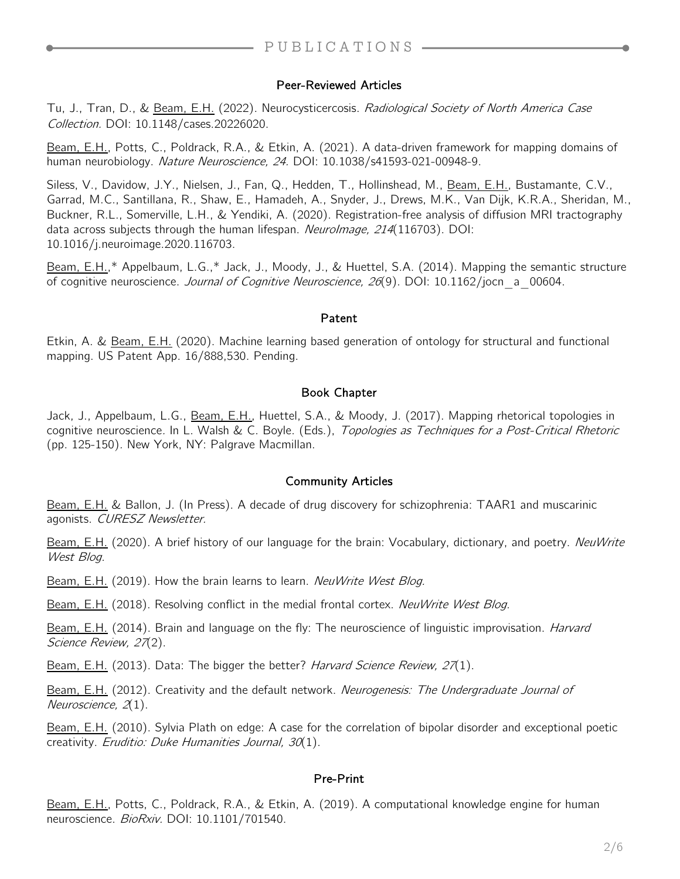#### Peer-Reviewed Articles

Tu, J., Tran, D., & Beam, E.H. (2022). Neurocysticercosis. Radiological Society of North America Case Collection. DOI: 10.1148/cases.20226020.

Beam, E.H., Potts, C., Poldrack, R.A., & Etkin, A. (2021). A data-driven framework for mapping domains of human neurobiology. Nature Neuroscience, 24. DOI: 10.1038/s41593-021-00948-9.

Siless, V., Davidow, J.Y., Nielsen, J., Fan, Q., Hedden, T., Hollinshead, M., Beam, E.H., Bustamante, C.V., Garrad, M.C., Santillana, R., Shaw, E., Hamadeh, A., Snyder, J., Drews, M.K., Van Dijk, K.R.A., Sheridan, M., Buckner, R.L., Somerville, L.H., & Yendiki, A. (2020). Registration-free analysis of diffusion MRI tractography data across subjects through the human lifespan. *NeuroImage, 214*(116703). DOI: 10.1016/j.neuroimage.2020.116703.

Beam, E.H.,\* Appelbaum, L.G.,\* Jack, J., Moody, J., & Huettel, S.A. (2014). Mapping the semantic structure of cognitive neuroscience. *Journal of Cognitive Neuroscience, 26*(9). DOI: 10.1162/jocn\_a\_00604.

#### Patent

Etkin, A. & Beam, E.H. (2020). Machine learning based generation of ontology for structural and functional mapping. US Patent App. 16/888,530. Pending.

#### Book Chapter

Jack, J., Appelbaum, L.G., Beam, E.H., Huettel, S.A., & Moody, J. (2017). Mapping rhetorical topologies in cognitive neuroscience. In L. Walsh & C. Boyle. (Eds.), Topologies as Techniques for a Post-Critical Rhetoric (pp. 125-150). New York, NY: Palgrave Macmillan.

#### Community Articles

Beam, E.H. & Ballon, J. (In Press). A decade of drug discovery for schizophrenia: TAAR1 and muscarinic agonists. CURESZ Newsletter.

Beam, E.H. (2020). A brief history of our language for the brain: Vocabulary, dictionary, and poetry. NeuWrite West Blog.

Beam, E.H. (2019). How the brain learns to learn. NeuWrite West Blog.

Beam, E.H. (2018). Resolving conflict in the medial frontal cortex. NeuWrite West Blog.

Beam, E.H. (2014). Brain and language on the fly: The neuroscience of linguistic improvisation. *Harvard* Science Review, 27(2).

Beam, E.H. (2013). Data: The bigger the better? Harvard Science Review, 27(1).

Beam, E.H. (2012). Creativity and the default network. Neurogenesis: The Undergraduate Journal of Neuroscience, 2(1).

Beam, E.H. (2010). Sylvia Plath on edge: A case for the correlation of bipolar disorder and exceptional poetic creativity. Eruditio: Duke Humanities Journal, 30(1).

#### Pre-Print

Beam, E.H., Potts, C., Poldrack, R.A., & Etkin, A. (2019). A computational knowledge engine for human neuroscience. BioRxiv. DOI: 10.1101/701540.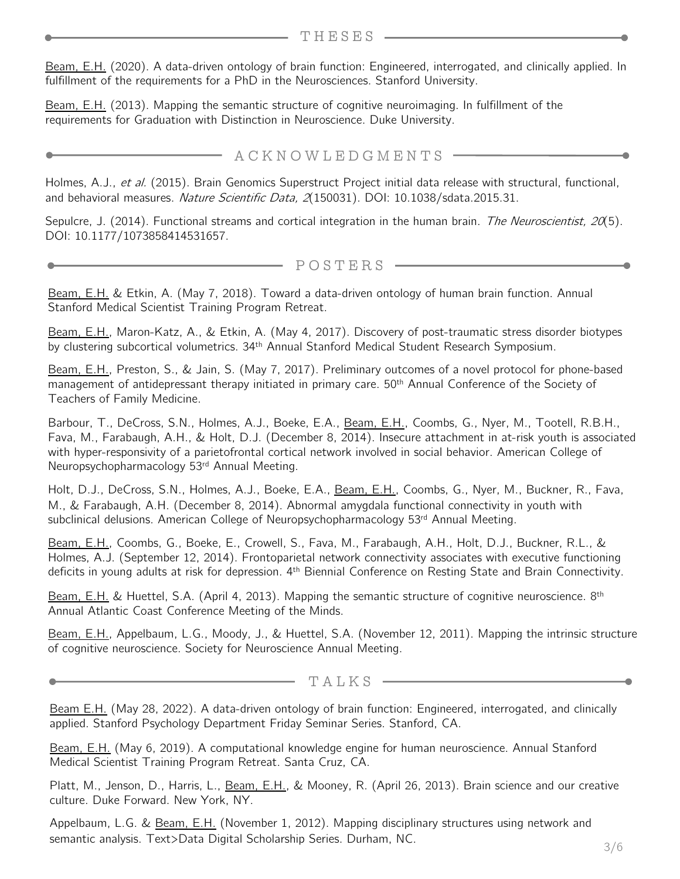Beam, E.H. (2020). A data-driven ontology of brain function: Engineered, interrogated, and clinically applied. In fulfillment of the requirements for a PhD in the Neurosciences. Stanford University.

Beam, E.H. (2013). Mapping the semantic structure of cognitive neuroimaging. In fulfillment of the requirements for Graduation with Distinction in Neuroscience. Duke University.

### $\longrightarrow$  ACKNOWLEDGMENTS -

Holmes, A.J., et al. (2015). Brain Genomics Superstruct Project initial data release with structural, functional, and behavioral measures. Nature Scientific Data, 2(150031). DOI: 10.1038/sdata.2015.31.

Sepulcre, J. (2014). Functional streams and cortical integration in the human brain. The Neuroscientist, 20(5). DOI: 10.1177/1073858414531657.

POSTERS

Beam, E.H. & Etkin, A. (May 7, 2018). Toward a data-driven ontology of human brain function. Annual Stanford Medical Scientist Training Program Retreat.

Beam, E.H., Maron-Katz, A., & Etkin, A. (May 4, 2017). Discovery of post-traumatic stress disorder biotypes by clustering subcortical volumetrics. 34<sup>th</sup> Annual Stanford Medical Student Research Symposium.

Beam, E.H., Preston, S., & Jain, S. (May 7, 2017). Preliminary outcomes of a novel protocol for phone-based management of antidepressant therapy initiated in primary care. 50<sup>th</sup> Annual Conference of the Society of Teachers of Family Medicine.

Barbour, T., DeCross, S.N., Holmes, A.J., Boeke, E.A., Beam, E.H., Coombs, G., Nyer, M., Tootell, R.B.H., Fava, M., Farabaugh, A.H., & Holt, D.J. (December 8, 2014). Insecure attachment in at-risk youth is associated with hyper-responsivity of a parietofrontal cortical network involved in social behavior. American College of Neuropsychopharmacology 53rd Annual Meeting.

Holt, D.J., DeCross, S.N., Holmes, A.J., Boeke, E.A., Beam, E.H., Coombs, G., Nyer, M., Buckner, R., Fava, M., & Farabaugh, A.H. (December 8, 2014). Abnormal amygdala functional connectivity in youth with subclinical delusions. American College of Neuropsychopharmacology 53<sup>rd</sup> Annual Meeting.

Beam, E.H., Coombs, G., Boeke, E., Crowell, S., Fava, M., Farabaugh, A.H., Holt, D.J., Buckner, R.L., & Holmes, A.J. (September 12, 2014). Frontoparietal network connectivity associates with executive functioning deficits in young adults at risk for depression. 4<sup>th</sup> Biennial Conference on Resting State and Brain Connectivity.

Beam, E.H. & Huettel, S.A. (April 4, 2013). Mapping the semantic structure of cognitive neuroscience. 8<sup>th</sup> Annual Atlantic Coast Conference Meeting of the Minds.

Beam, E.H., Appelbaum, L.G., Moody, J., & Huettel, S.A. (November 12, 2011). Mapping the intrinsic structure of cognitive neuroscience. Society for Neuroscience Annual Meeting.

TALKS

Beam E.H. (May 28, 2022). A data-driven ontology of brain function: Engineered, interrogated, and clinically applied. Stanford Psychology Department Friday Seminar Series. Stanford, CA.

Beam, E.H. (May 6, 2019). A computational knowledge engine for human neuroscience. Annual Stanford Medical Scientist Training Program Retreat. Santa Cruz, CA.

Platt, M., Jenson, D., Harris, L., Beam, E.H., & Mooney, R. (April 26, 2013). Brain science and our creative culture. Duke Forward. New York, NY.

Appelbaum, L.G. & Beam, E.H. (November 1, 2012). Mapping disciplinary structures using network and semantic analysis. Text>Data Digital Scholarship Series. Durham, NC.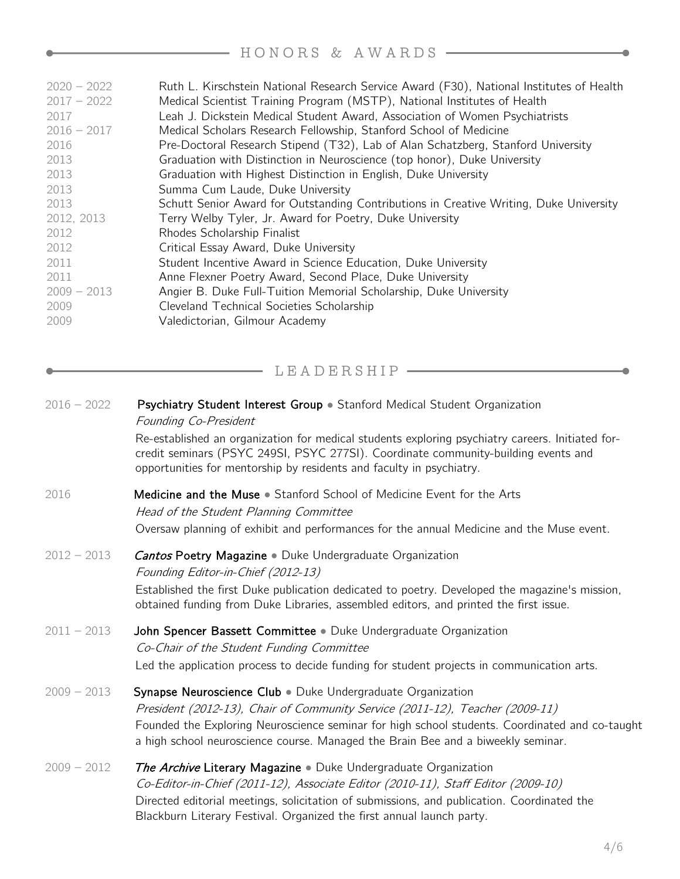## HONORS & AWARDS

| $2020 - 2022$ | Ruth L. Kirschstein National Research Service Award (F30), National Institutes of Health |
|---------------|------------------------------------------------------------------------------------------|
| $2017 - 2022$ | Medical Scientist Training Program (MSTP), National Institutes of Health                 |
| 2017          | Leah J. Dickstein Medical Student Award, Association of Women Psychiatrists              |
| $2016 - 2017$ | Medical Scholars Research Fellowship, Stanford School of Medicine                        |
| 2016          | Pre-Doctoral Research Stipend (T32), Lab of Alan Schatzberg, Stanford University         |
| 2013          | Graduation with Distinction in Neuroscience (top honor), Duke University                 |
| 2013          | Graduation with Highest Distinction in English, Duke University                          |
| 2013          | Summa Cum Laude, Duke University                                                         |
| 2013          | Schutt Senior Award for Outstanding Contributions in Creative Writing, Duke University   |
| 2012, 2013    | Terry Welby Tyler, Jr. Award for Poetry, Duke University                                 |
| 2012          | Rhodes Scholarship Finalist                                                              |
| 2012          | Critical Essay Award, Duke University                                                    |
| 2011          | Student Incentive Award in Science Education, Duke University                            |
| 2011          | Anne Flexner Poetry Award, Second Place, Duke University                                 |
| $2009 - 2013$ | Angier B. Duke Full-Tuition Memorial Scholarship, Duke University                        |
| 2009          | Cleveland Technical Societies Scholarship                                                |
| 2009          | Valedictorian, Gilmour Academy                                                           |
|               |                                                                                          |

LEADERSHIP - THE LEADER SHIP

| $2016 - 2022$ | Psychiatry Student Interest Group • Stanford Medical Student Organization<br>Founding Co-President                                                                                                                                                                                                                                |
|---------------|-----------------------------------------------------------------------------------------------------------------------------------------------------------------------------------------------------------------------------------------------------------------------------------------------------------------------------------|
|               | Re-established an organization for medical students exploring psychiatry careers. Initiated for-<br>credit seminars (PSYC 249SI, PSYC 277SI). Coordinate community-building events and<br>opportunities for mentorship by residents and faculty in psychiatry.                                                                    |
| 2016          | Medicine and the Muse • Stanford School of Medicine Event for the Arts<br>Head of the Student Planning Committee<br>Oversaw planning of exhibit and performances for the annual Medicine and the Muse event.                                                                                                                      |
| $2012 - 2013$ | <b>Cantos Poetry Magazine •</b> Duke Undergraduate Organization<br>Founding Editor-in-Chief (2012-13)<br>Established the first Duke publication dedicated to poetry. Developed the magazine's mission,<br>obtained funding from Duke Libraries, assembled editors, and printed the first issue.                                   |
| $2011 - 2013$ | John Spencer Bassett Committee • Duke Undergraduate Organization<br>Co-Chair of the Student Funding Committee<br>Led the application process to decide funding for student projects in communication arts.                                                                                                                        |
| $2009 - 2013$ | Synapse Neuroscience Club . Duke Undergraduate Organization<br>President (2012-13), Chair of Community Service (2011-12), Teacher (2009-11)<br>Founded the Exploring Neuroscience seminar for high school students. Coordinated and co-taught<br>a high school neuroscience course. Managed the Brain Bee and a biweekly seminar. |
| $2009 - 2012$ | <b>The Archive Literary Magazine •</b> Duke Undergraduate Organization<br>Co-Editor-in-Chief (2011-12), Associate Editor (2010-11), Staff Editor (2009-10)<br>Directed editorial meetings, solicitation of submissions, and publication. Coordinated the<br>Blackburn Literary Festival. Organized the first annual launch party. |

 $\bullet$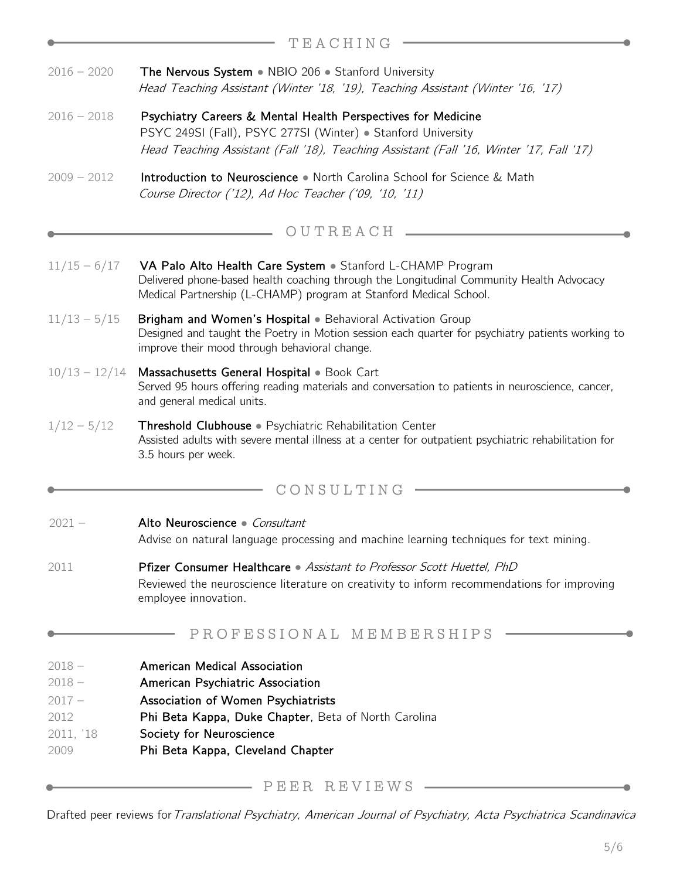|                                                               | TEACHING                                                                                                                                                                                                                               |
|---------------------------------------------------------------|----------------------------------------------------------------------------------------------------------------------------------------------------------------------------------------------------------------------------------------|
| $2016 - 2020$                                                 | The Nervous System • NBIO 206 • Stanford University<br>Head Teaching Assistant (Winter '18, '19), Teaching Assistant (Winter '16, '17)                                                                                                 |
| $2016 - 2018$                                                 | Psychiatry Careers & Mental Health Perspectives for Medicine<br>PSYC 249SI (Fall), PSYC 277SI (Winter) · Stanford University<br>Head Teaching Assistant (Fall '18), Teaching Assistant (Fall '16, Winter '17, Fall '17)                |
| $2009 - 2012$                                                 | Introduction to Neuroscience • North Carolina School for Science & Math<br>Course Director ('12), Ad Hoc Teacher ('09, '10, '11)                                                                                                       |
|                                                               | OUTREACH                                                                                                                                                                                                                               |
| $11/15 - 6/17$                                                | VA Palo Alto Health Care System . Stanford L-CHAMP Program<br>Delivered phone-based health coaching through the Longitudinal Community Health Advocacy<br>Medical Partnership (L-CHAMP) program at Stanford Medical School.            |
| $11/13 - 5/15$                                                | Brigham and Women's Hospital . Behavioral Activation Group<br>Designed and taught the Poetry in Motion session each quarter for psychiatry patients working to<br>improve their mood through behavioral change.                        |
| $10/13 - 12/14$                                               | Massachusetts General Hospital . Book Cart<br>Served 95 hours offering reading materials and conversation to patients in neuroscience, cancer,<br>and general medical units.                                                           |
| $1/12 - 5/12$                                                 | Threshold Clubhouse · Psychiatric Rehabilitation Center<br>Assisted adults with severe mental illness at a center for outpatient psychiatric rehabilitation for<br>3.5 hours per week.                                                 |
|                                                               | CONSULTING                                                                                                                                                                                                                             |
| $2021 -$                                                      | Alto Neuroscience · Consultant<br>Advise on natural language processing and machine learning techniques for text mining.                                                                                                               |
| 2011                                                          | <b>Pfizer Consumer Healthcare</b> • Assistant to Professor Scott Huettel, PhD<br>Reviewed the neuroscience literature on creativity to inform recommendations for improving<br>employee innovation.                                    |
|                                                               | PROFESSIONAL MEMBERSHIPS                                                                                                                                                                                                               |
| $2018 -$<br>$2018 -$<br>$2017 -$<br>2012<br>2011, '18<br>2009 | <b>American Medical Association</b><br>American Psychiatric Association<br>Association of Women Psychiatrists<br>Phi Beta Kappa, Duke Chapter, Beta of North Carolina<br>Society for Neuroscience<br>Phi Beta Kappa, Cleveland Chapter |

**PEER REVIEWS \_\_\_\_\_\_\_\_\_\_\_\_\_\_\_\_\_\_** 

Drafted peer reviews for Translational Psychiatry, American Journal of Psychiatry, Acta Psychiatrica Scandinavica

۰